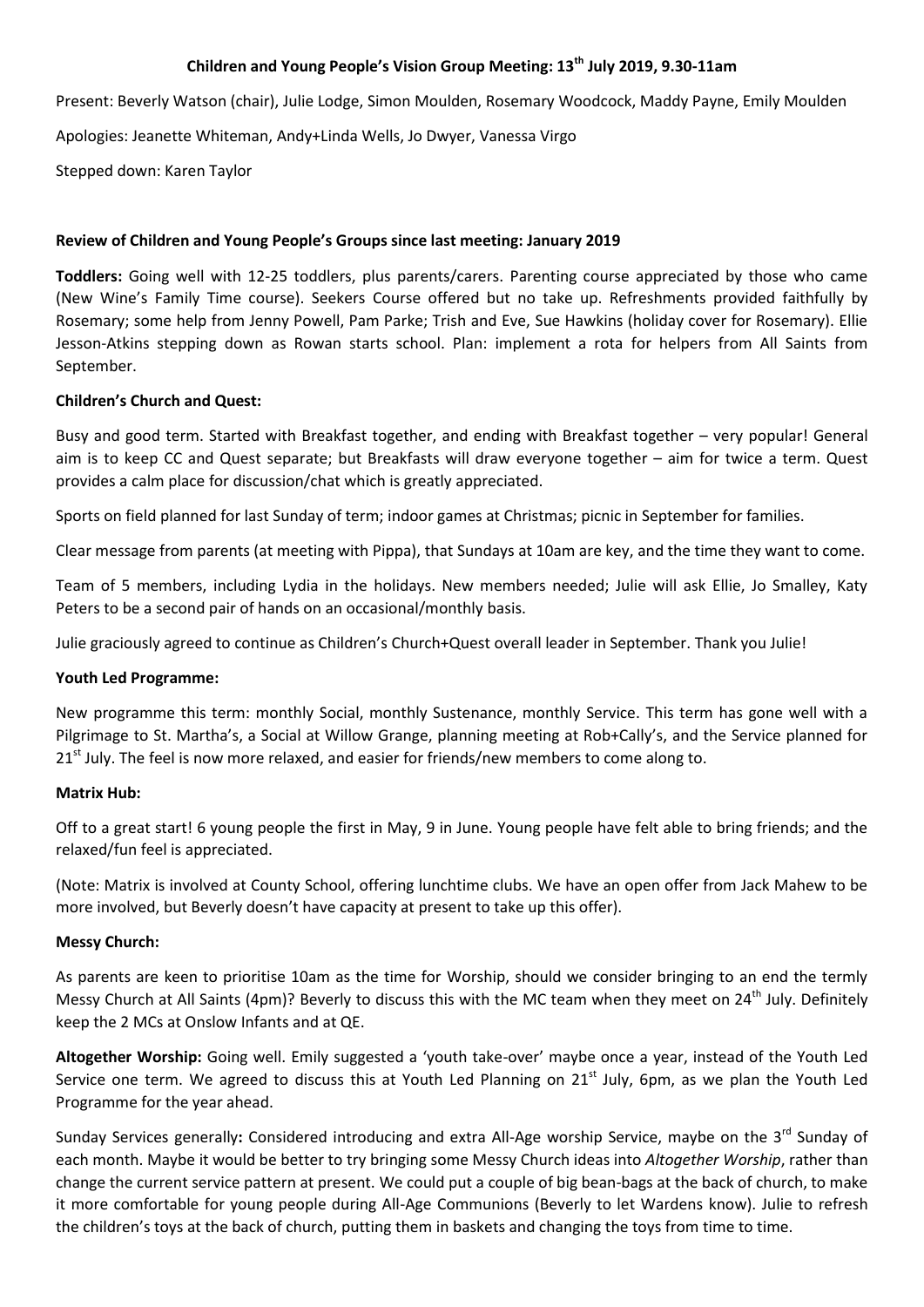# **Children and Young People's Vision Group Meeting: 13th July 2019, 9.30-11am**

Present: Beverly Watson (chair), Julie Lodge, Simon Moulden, Rosemary Woodcock, Maddy Payne, Emily Moulden

Apologies: Jeanette Whiteman, Andy+Linda Wells, Jo Dwyer, Vanessa Virgo

Stepped down: Karen Taylor

### **Review of Children and Young People's Groups since last meeting: January 2019**

**Toddlers:** Going well with 12-25 toddlers, plus parents/carers. Parenting course appreciated by those who came (New Wine's Family Time course). Seekers Course offered but no take up. Refreshments provided faithfully by Rosemary; some help from Jenny Powell, Pam Parke; Trish and Eve, Sue Hawkins (holiday cover for Rosemary). Ellie Jesson-Atkins stepping down as Rowan starts school. Plan: implement a rota for helpers from All Saints from September.

#### **Children's Church and Quest:**

Busy and good term. Started with Breakfast together, and ending with Breakfast together – very popular! General aim is to keep CC and Quest separate; but Breakfasts will draw everyone together – aim for twice a term. Quest provides a calm place for discussion/chat which is greatly appreciated.

Sports on field planned for last Sunday of term; indoor games at Christmas; picnic in September for families.

Clear message from parents (at meeting with Pippa), that Sundays at 10am are key, and the time they want to come.

Team of 5 members, including Lydia in the holidays. New members needed; Julie will ask Ellie, Jo Smalley, Katy Peters to be a second pair of hands on an occasional/monthly basis.

Julie graciously agreed to continue as Children's Church+Quest overall leader in September. Thank you Julie!

# **Youth Led Programme:**

New programme this term: monthly Social, monthly Sustenance, monthly Service. This term has gone well with a Pilgrimage to St. Martha's, a Social at Willow Grange, planning meeting at Rob+Cally's, and the Service planned for  $21<sup>st</sup>$  July. The feel is now more relaxed, and easier for friends/new members to come along to.

#### **Matrix Hub:**

Off to a great start! 6 young people the first in May, 9 in June. Young people have felt able to bring friends; and the relaxed/fun feel is appreciated.

(Note: Matrix is involved at County School, offering lunchtime clubs. We have an open offer from Jack Mahew to be more involved, but Beverly doesn't have capacity at present to take up this offer).

# **Messy Church:**

As parents are keen to prioritise 10am as the time for Worship, should we consider bringing to an end the termly Messy Church at All Saints (4pm)? Beverly to discuss this with the MC team when they meet on  $24^{th}$  July. Definitely keep the 2 MCs at Onslow Infants and at QE.

**Altogether Worship:** Going well. Emily suggested a 'youth take-over' maybe once a year, instead of the Youth Led Service one term. We agreed to discuss this at Youth Led Planning on  $21<sup>st</sup>$  July, 6pm, as we plan the Youth Led Programme for the year ahead.

Sunday Services generally: Considered introducing and extra All-Age worship Service, maybe on the 3<sup>rd</sup> Sunday of each month. Maybe it would be better to try bringing some Messy Church ideas into *Altogether Worship*, rather than change the current service pattern at present. We could put a couple of big bean-bags at the back of church, to make it more comfortable for young people during All-Age Communions (Beverly to let Wardens know). Julie to refresh the children's toys at the back of church, putting them in baskets and changing the toys from time to time.